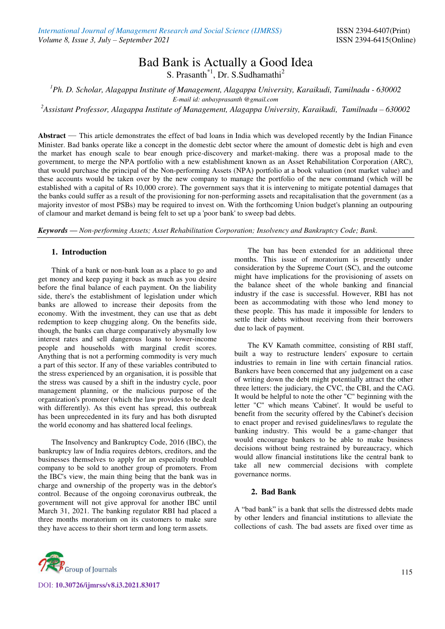# Bad Bank is Actually a Good Idea

S. Prasanth<sup>\*1</sup>, Dr. S. Sudhamathi<sup>2</sup>

*<sup>1</sup>Ph. D. Scholar, Alagappa Institute of Management, Alagappa University, Karaikudi, Tamilnadu - 630002 E-mail id: anbayprasanth @gmail.com* 

<sup>2</sup>*Assistant Professor, Alagappa Institute of Management, Alagappa University, Karaikudi, Tamilnadu – 630002* 

**Abstract** — This article demonstrates the effect of bad loans in India which was developed recently by the Indian Finance Minister. Bad banks operate like a concept in the domestic debt sector where the amount of domestic debt is high and even the market has enough scale to bear enough price-discovery and market-making. there was a proposal made to the government, to merge the NPA portfolio with a new establishment known as an Asset Rehabilitation Corporation (ARC), that would purchase the principal of the Non-performing Assets (NPA) portfolio at a book valuation (not market value) and these accounts would be taken over by the new company to manage the portfolio of the new command (which will be established with a capital of Rs 10,000 crore). The government says that it is intervening to mitigate potential damages that the banks could suffer as a result of the provisioning for non-performing assets and recapitalisation that the government (as a majority investor of most PSBs) may be required to invest on. With the forthcoming Union budget's planning an outpouring of clamour and market demand is being felt to set up a 'poor bank' to sweep bad debts.

*Keywords — Non-performing Assets; Asset Rehabilitation Corporation; Insolvency and Bankruptcy Code; Bank.*

### **1. Introduction**

Think of a bank or non-bank loan as a place to go and get money and keep paying it back as much as you desire before the final balance of each payment. On the liability side, there's the establishment of legislation under which banks are allowed to increase their deposits from the economy. With the investment, they can use that as debt redemption to keep chugging along. On the benefits side, though, the banks can charge comparatively abysmally low interest rates and sell dangerous loans to lower-income people and households with marginal credit scores. Anything that is not a performing commodity is very much a part of this sector. If any of these variables contributed to the stress experienced by an organisation, it is possible that the stress was caused by a shift in the industry cycle, poor management planning, or the malicious purpose of the organization's promoter (which the law provides to be dealt with differently). As this event has spread, this outbreak has been unprecedented in its fury and has both disrupted the world economy and has shattered local feelings.

The Insolvency and Bankruptcy Code, 2016 (IBC), the bankruptcy law of India requires debtors, creditors, and the businesses themselves to apply for an especially troubled company to be sold to another group of promoters. From the IBC's view, the main thing being that the bank was in charge and ownership of the property was in the debtor's control. Because of the ongoing coronavirus outbreak, the government will not give approval for another IBC until March 31, 2021. The banking regulator RBI had placed a three months moratorium on its customers to make sure they have access to their short term and long term assets.

The ban has been extended for an additional three months. This issue of moratorium is presently under consideration by the Supreme Court (SC), and the outcome might have implications for the provisioning of assets on the balance sheet of the whole banking and financial industry if the case is successful. However, RBI has not been as accommodating with those who lend money to these people. This has made it impossible for lenders to settle their debts without receiving from their borrowers due to lack of payment.

The KV Kamath committee, consisting of RBI staff, built a way to restructure lenders' exposure to certain industries to remain in line with certain financial ratios. Bankers have been concerned that any judgement on a case of writing down the debt might potentially attract the other three letters: the judiciary, the CVC, the CBI, and the CAG. It would be helpful to note the other "C" beginning with the letter "C" which means 'Cabinet'. It would be useful to benefit from the security offered by the Cabinet's decision to enact proper and revised guidelines/laws to regulate the banking industry. This would be a game-changer that would encourage bankers to be able to make business decisions without being restrained by bureaucracy, which would allow financial institutions like the central bank to take all new commercial decisions with complete governance norms.

#### **2. Bad Bank**

A "bad bank" is a bank that sells the distressed debts made by other lenders and financial institutions to alleviate the collections of cash. The bad assets are fixed over time as



DOI: **10.30726/ijmrss/v8.i3.2021.83017**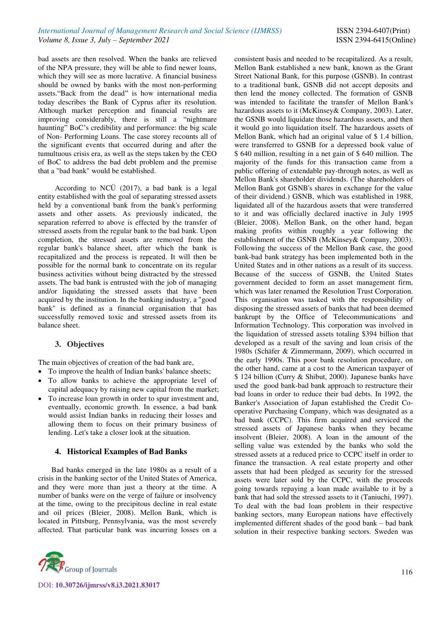bad assets are then resolved. When the banks are relieved of the NPA pressure, they will be able to find newer loans, which they will see as more lucrative. A financial business should be owned by banks with the most non-performing assets."Back from the dead" is how international media today describes the Bank of Cyprus after its resolution. Although market perception and financial results are improving considerably, there is still a "nightmare haunting" BoC's credibility and performance: the big scale of Non- Performing Loans. The case storey recounts all of the significant events that occurred during and after the tumultuous crisis era, as well as the steps taken by the CEO of BoC to address the bad debt problem and the premise that a "bad bank" would be established.

According to NCÜ (2017), a bad bank is a legal entity established with the goal of separating stressed assets held by a conventional bank from the bank's performing assets and other assets. As previously indicated, the separation referred to above is effected by the transfer of stressed assets from the regular bank to the bad bank. Upon completion, the stressed assets are removed from the regular bank's balance sheet, after which the bank is recapitalized and the process is repeated. It will then be possible for the normal bank to concentrate on its regular business activities without being distracted by the stressed assets. The bad bank is entrusted with the job of managing and/or liquidating the stressed assets that have been acquired by the institution. In the banking industry, a "good bank" is defined as a financial organisation that has successfully removed toxic and stressed assets from its balance sheet.

## **3. Objectives**

The main objectives of creation of the bad bank are,

- To improve the health of Indian banks' balance sheets;
- To allow banks to achieve the appropriate level of capital adequacy by raising new capital from the market;
- To increase loan growth in order to spur investment and, eventually, economic growth. In essence, a bad bank would assist Indian banks in reducing their losses and allowing them to focus on their primary business of lending. Let's take a closer look at the situation.

#### **4. Historical Examples of Bad Banks**

Bad banks emerged in the late 1980s as a result of a crisis in the banking sector of the United States of America, and they were more than just a theory at the time. A number of banks were on the verge of failure or insolvency at the time, owing to the precipitous decline in real estate and oil prices (Bleier, 2008). Mellon Bank, which is located in Pittsburg, Pennsylvania, was the most severely affected. That particular bank was incurring losses on a



consistent basis and needed to be recapitalized. As a result, Mellon Bank established a new bank, known as the Grant Street National Bank, for this purpose (GSNB). In contrast to a traditional bank, GSNB did not accept deposits and then lend the money collected. The formation of GSNB was intended to facilitate the transfer of Mellon Bank's hazardous assets to it (McKinsey& Company, 2003). Later, the GSNB would liquidate those hazardous assets, and then it would go into liquidation itself. The hazardous assets of Mellon Bank, which had an original value of \$ 1.4 billion, were transferred to GSNB for a depressed book value of \$ 640 million, resulting in a net gain of \$ 640 million. The majority of the funds for this transaction came from a public offering of extendable pay-through notes, as well as Mellon Bank's shareholder dividends. (The shareholders of Mellon Bank got GSNB's shares in exchange for the value of their dividend.) GSNB, which was established in 1988, liquidated all of the hazardous assets that were transferred to it and was officially declared inactive in July 1995 (Bleier, 2008). Mellon Bank, on the other hand, began making profits within roughly a year following the establishment of the GSNB (McKinsey& Company, 2003). Following the success of the Mellon Bank case, the good bank-bad bank strategy has been implemented both in the United States and in other nations as a result of its success. Because of the success of GSNB, the United States government decided to form an asset management firm, which was later renamed the Resolution Trust Corporation. This organisation was tasked with the responsibility of disposing the stressed assets of banks that had been deemed bankrupt by the Office of Telecommunications and Information Technology. This corporation was involved in the liquidation of stressed assets totaling \$394 billion that developed as a result of the saving and loan crisis of the 1980s (Schäfer & Zimmermann, 2009), which occurred in the early 1990s. This poor bank resolution procedure, on the other hand, came at a cost to the American taxpayer of \$ 124 billion (Curry & Shibut, 2000). Japanese banks have used the good bank-bad bank approach to restructure their bad loans in order to reduce their bad debts. In 1992, the Banker's Association of Japan established the Credit Cooperative Purchasing Company, which was designated as a bad bank (CCPC). This firm acquired and serviced the stressed assets of Japanese banks when they became insolvent (Bleier, 2008). A loan in the amount of the selling value was extended by the banks who sold the stressed assets at a reduced price to CCPC itself in order to finance the transaction. A real estate property and other assets that had been pledged as security for the stressed assets were later sold by the CCPC, with the proceeds going towards repaying a loan made available to it by a bank that had sold the stressed assets to it (Taniuchi, 1997). To deal with the bad loan problem in their respective banking sectors, many European nations have effectively implemented different shades of the good bank – bad bank solution in their respective banking sectors. Sweden was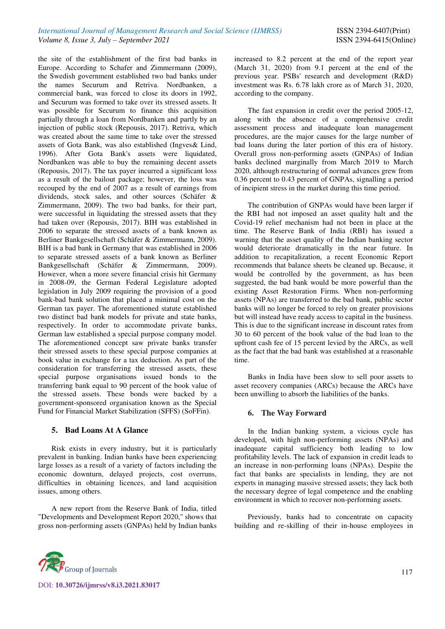the site of the establishment of the first bad banks in Europe. According to Schafer and Zimmermann (2009), the Swedish government established two bad banks under the names Securum and Retriva. Nordbanken, a commercial bank, was forced to close its doors in 1992, and Securum was formed to take over its stressed assets. It was possible for Securum to finance this acquisition partially through a loan from Nordbanken and partly by an injection of public stock (Repousis, 2017). Retriva, which was created about the same time to take over the stressed assets of Gota Bank, was also established (Ingves& Lind, 1996). After Gota Bank's assets were liquidated, Nordbanken was able to buy the remaining decent assets (Repousis, 2017). The tax payer incurred a significant loss as a result of the bailout package; however, the loss was recouped by the end of 2007 as a result of earnings from dividends, stock sales, and other sources (Schäfer & Zimmermann, 2009). The two bad banks, for their part, were successful in liquidating the stressed assets that they had taken over (Repousis, 2017). BIH was established in 2006 to separate the stressed assets of a bank known as Berliner Bankgesellschaft (Schäfer & Zimmermann, 2009). BIH is a bad bank in Germany that was established in 2006 to separate stressed assets of a bank known as Berliner Bankgesellschaft (Schäfer & Zimmermann, 2009). However, when a more severe financial crisis hit Germany in 2008-09, the German Federal Legislature adopted legislation in July 2009 requiring the provision of a good bank-bad bank solution that placed a minimal cost on the German tax payer. The aforementioned statute established two distinct bad bank models for private and state banks, respectively. In order to accommodate private banks, German law established a special purpose company model. The aforementioned concept saw private banks transfer their stressed assets to these special purpose companies at book value in exchange for a tax deduction. As part of the consideration for transferring the stressed assets, these special purpose organisations issued bonds to the transferring bank equal to 90 percent of the book value of the stressed assets. These bonds were backed by a government-sponsored organisation known as the Special Fund for Financial Market Stabilization (SFFS) (SoFFin).

## **5. Bad Loans At A Glance**

Risk exists in every industry, but it is particularly prevalent in banking. Indian banks have been experiencing large losses as a result of a variety of factors including the economic downturn, delayed projects, cost overruns, difficulties in obtaining licences, and land acquisition issues, among others.

A new report from the Reserve Bank of India, titled "Developments and Development Report 2020," shows that gross non-performing assets (GNPAs) held by Indian banks increased to 8.2 percent at the end of the report year (March 31, 2020) from 9.1 percent at the end of the previous year. PSBs' research and development (R&D) investment was Rs. 6.78 lakh crore as of March 31, 2020, according to the company.

The fast expansion in credit over the period 2005-12, along with the absence of a comprehensive credit assessment process and inadequate loan management procedures, are the major causes for the large number of bad loans during the later portion of this era of history. Overall gross non-performing assets (GNPAs) of Indian banks declined marginally from March 2019 to March 2020, although restructuring of normal advances grew from 0.36 percent to 0.43 percent of GNPAs, signalling a period of incipient stress in the market during this time period.

The contribution of GNPAs would have been larger if the RBI had not imposed an asset quality halt and the Covid-19 relief mechanism had not been in place at the time. The Reserve Bank of India (RBI) has issued a warning that the asset quality of the Indian banking sector would deteriorate dramatically in the near future. In addition to recapitalization, a recent Economic Report recommends that balance sheets be cleaned up. Because, it would be controlled by the government, as has been suggested, the bad bank would be more powerful than the existing Asset Restoration Firms. When non-performing assets (NPAs) are transferred to the bad bank, public sector banks will no longer be forced to rely on greater provisions but will instead have ready access to capital in the business. This is due to the significant increase in discount rates from 30 to 60 percent of the book value of the bad loan to the upfront cash fee of 15 percent levied by the ARCs, as well as the fact that the bad bank was established at a reasonable time.

Banks in India have been slow to sell poor assets to asset recovery companies (ARCs) because the ARCs have been unwilling to absorb the liabilities of the banks.

## **6. The Way Forward**

In the Indian banking system, a vicious cycle has developed, with high non-performing assets (NPAs) and inadequate capital sufficiency both leading to low profitability levels. The lack of expansion in credit leads to an increase in non-performing loans (NPAs). Despite the fact that banks are specialists in lending, they are not experts in managing massive stressed assets; they lack both the necessary degree of legal competence and the enabling environment in which to recover non-performing assets.

Previously, banks had to concentrate on capacity building and re-skilling of their in-house employees in